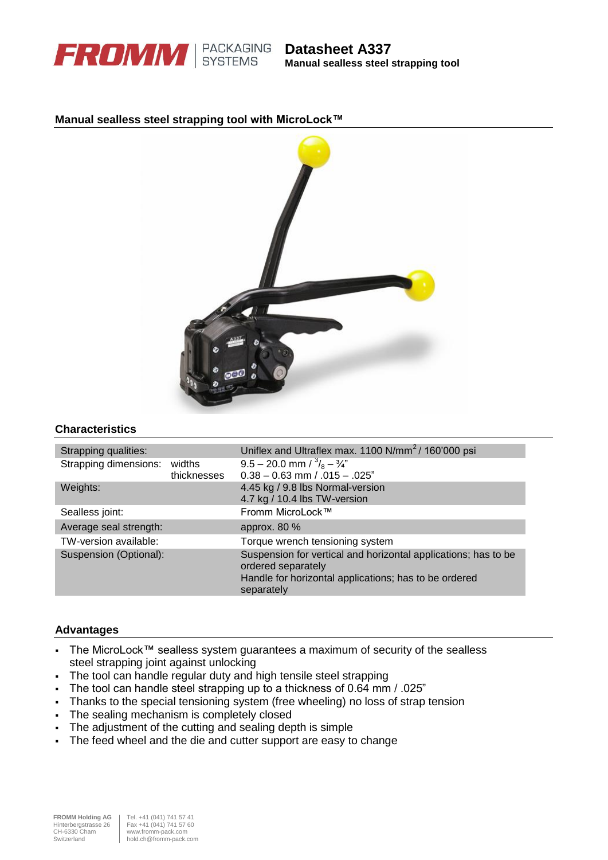

**Manual sealless steel strapping tool**

## **Manual sealless steel strapping tool with MicroLock™**



#### **Characteristics**

| Strapping qualities:         |             | Uniflex and Ultraflex max. 1100 $N/mm^2/160'000$ psi                                 |
|------------------------------|-------------|--------------------------------------------------------------------------------------|
| Strapping dimensions: widths |             | $9.5 - 20.0$ mm $\frac{3}{8} - \frac{3}{4}$                                          |
|                              | thicknesses | $0.38 - 0.63$ mm $/ .015 - .025$ "                                                   |
| Weights:                     |             | 4.45 kg / 9.8 lbs Normal-version                                                     |
|                              |             | 4.7 kg / 10.4 lbs TW-version                                                         |
| Sealless joint:              |             | Fromm MicroLock™                                                                     |
| Average seal strength:       |             | approx. 80 %                                                                         |
| TW-version available:        |             | Torque wrench tensioning system                                                      |
| Suspension (Optional):       |             | Suspension for vertical and horizontal applications; has to be<br>ordered separately |
|                              |             | Handle for horizontal applications; has to be ordered<br>separately                  |
|                              |             |                                                                                      |

## **Advantages**

- The MicroLock™ sealless system guarantees a maximum of security of the sealless steel strapping joint against unlocking
- The tool can handle regular duty and high tensile steel strapping
- The tool can handle steel strapping up to a thickness of 0.64 mm / .025"
- Thanks to the special tensioning system (free wheeling) no loss of strap tension
- The sealing mechanism is completely closed
- The adjustment of the cutting and sealing depth is simple
- The feed wheel and the die and cutter support are easy to change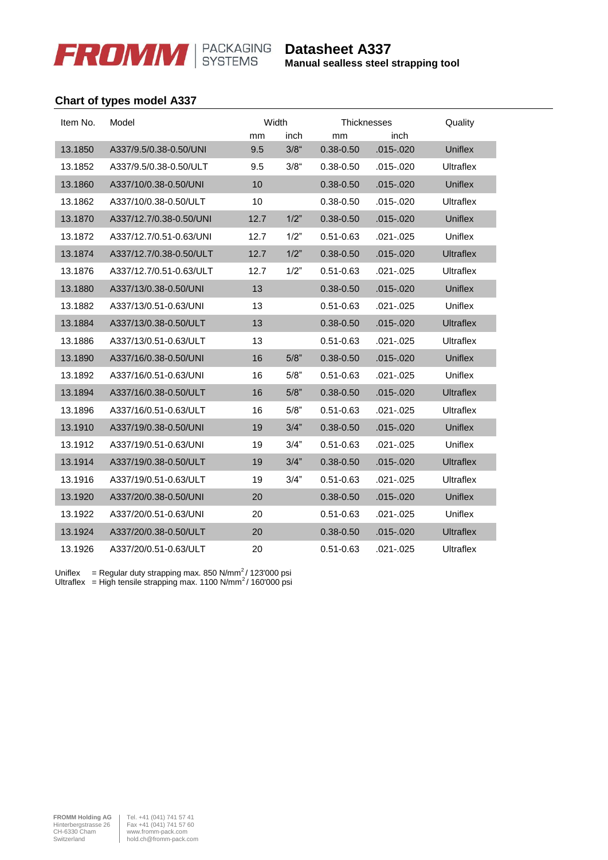

**Manual sealless steel strapping tool**

# **Chart of types model A337**

| Item No. | Model                   | Width |         | <b>Thicknesses</b> |               | Quality          |
|----------|-------------------------|-------|---------|--------------------|---------------|------------------|
|          |                         | mm    | inch    | mm                 | inch          |                  |
| 13.1850  | A337/9.5/0.38-0.50/UNI  | 9.5   | $3/8$ " | $0.38 - 0.50$      | .015 - .020   | Uniflex          |
| 13.1852  | A337/9.5/0.38-0.50/ULT  | 9.5   | $3/8$ " | $0.38 - 0.50$      | $.015 - .020$ | <b>Ultraflex</b> |
| 13.1860  | A337/10/0.38-0.50/UNI   | 10    |         | $0.38 - 0.50$      | $.015 - .020$ | <b>Uniflex</b>   |
| 13.1862  | A337/10/0.38-0.50/ULT   | 10    |         | 0.38-0.50          | $.015-.020$   | Ultraflex        |
| 13.1870  | A337/12.7/0.38-0.50/UNI | 12.7  | 1/2"    | $0.38 - 0.50$      | $.015 - .020$ | <b>Uniflex</b>   |
| 13.1872  | A337/12.7/0.51-0.63/UNI | 12.7  | 1/2"    | $0.51 - 0.63$      | $.021 - .025$ | Uniflex          |
| 13.1874  | A337/12.7/0.38-0.50/ULT | 12.7  | 1/2"    | $0.38 - 0.50$      | .015 - .020   | <b>Ultraflex</b> |
| 13.1876  | A337/12.7/0.51-0.63/ULT | 12.7  | 1/2"    | $0.51 - 0.63$      | $.021 - .025$ | Ultraflex        |
| 13.1880  | A337/13/0.38-0.50/UNI   | 13    |         | $0.38 - 0.50$      | $.015 - .020$ | <b>Uniflex</b>   |
| 13.1882  | A337/13/0.51-0.63/UNI   | 13    |         | $0.51 - 0.63$      | $.021 - .025$ | Uniflex          |
| 13.1884  | A337/13/0.38-0.50/ULT   | 13    |         | $0.38 - 0.50$      | $.015 - .020$ | <b>Ultraflex</b> |
| 13.1886  | A337/13/0.51-0.63/ULT   | 13    |         | $0.51 - 0.63$      | $.021 - .025$ | <b>Ultraflex</b> |
| 13.1890  | A337/16/0.38-0.50/UNI   | 16    | 5/8"    | $0.38 - 0.50$      | $.015 - .020$ | Uniflex          |
| 13.1892  | A337/16/0.51-0.63/UNI   | 16    | 5/8"    | $0.51 - 0.63$      | $.021 - .025$ | Uniflex          |
| 13.1894  | A337/16/0.38-0.50/ULT   | 16    | 5/8"    | $0.38 - 0.50$      | $.015 - .020$ | <b>Ultraflex</b> |
| 13.1896  | A337/16/0.51-0.63/ULT   | 16    | 5/8"    | $0.51 - 0.63$      | $.021 - .025$ | Ultraflex        |
| 13.1910  | A337/19/0.38-0.50/UNI   | 19    | 3/4"    | $0.38 - 0.50$      | $.015 - .020$ | <b>Uniflex</b>   |
| 13.1912  | A337/19/0.51-0.63/UNI   | 19    | 3/4"    | $0.51 - 0.63$      | $.021 - .025$ | Uniflex          |
| 13.1914  | A337/19/0.38-0.50/ULT   | 19    | 3/4"    | $0.38 - 0.50$      | $.015 - .020$ | <b>Ultraflex</b> |
| 13.1916  | A337/19/0.51-0.63/ULT   | 19    | 3/4"    | $0.51 - 0.63$      | $.021 - .025$ | Ultraflex        |
| 13.1920  | A337/20/0.38-0.50/UNI   | 20    |         | $0.38 - 0.50$      | $.015 - .020$ | <b>Uniflex</b>   |
| 13.1922  | A337/20/0.51-0.63/UNI   | 20    |         | 0.51-0.63          | $.021 - .025$ | Uniflex          |
| 13.1924  | A337/20/0.38-0.50/ULT   | 20    |         | $0.38 - 0.50$      | $.015 - .020$ | <b>Ultraflex</b> |
| 13.1926  | A337/20/0.51-0.63/ULT   | 20    |         | $0.51 - 0.63$      | $.021 - .025$ | Ultraflex        |

Uniflex = Regular duty strapping max. 850 N/mm<sup>2</sup>/ 123'000 psi Ultraflex = High tensile strapping max. 1100 N/mm<sup>2</sup>/ 160'000 psi

**FROMM Holding AG** Tel. +41 (041) 741 57 41<br>
Hinterbergstrasse 26 Fax +41 (041) 741 57 60<br>
CH-6330 Cham ww.fromm-pack.com<br>Switzerland hold.ch@fromm-pack.com